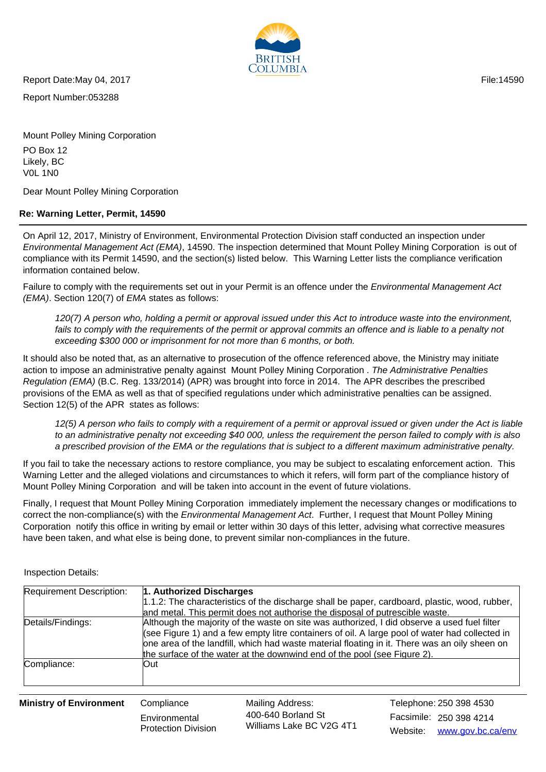

Report Date:May 04, 2017 **File:14590** File:14590

Report Number:053288

Mount Polley Mining Corporation PO Box 12 Likely, BC V0L 1N0

Dear Mount Polley Mining Corporation

## **Re: Warning Letter, Permit, 14590**

On April 12, 2017, Ministry of Environment, Environmental Protection Division staff conducted an inspection under Environmental Management Act (EMA), 14590. The inspection determined that Mount Polley Mining Corporation is out of compliance with its Permit 14590, and the section(s) listed below. This Warning Letter lists the compliance verification information contained below.

Failure to comply with the requirements set out in your Permit is an offence under the Environmental Management Act (EMA). Section 120(7) of EMA states as follows:

120(7) A person who, holding a permit or approval issued under this Act to introduce waste into the environment, fails to comply with the requirements of the permit or approval commits an offence and is liable to a penalty not exceeding \$300 000 or imprisonment for not more than 6 months, or both.

It should also be noted that, as an alternative to prosecution of the offence referenced above, the Ministry may initiate action to impose an administrative penalty against Mount Polley Mining Corporation . The Administrative Penalties Regulation (EMA) (B.C. Reg. 133/2014) (APR) was brought into force in 2014. The APR describes the prescribed provisions of the EMA as well as that of specified regulations under which administrative penalties can be assigned. Section 12(5) of the APR states as follows:

12(5) A person who fails to comply with a requirement of a permit or approval issued or given under the Act is liable to an administrative penalty not exceeding \$40 000, unless the requirement the person failed to comply with is also a prescribed provision of the EMA or the regulations that is subject to a different maximum administrative penalty.

If you fail to take the necessary actions to restore compliance, you may be subject to escalating enforcement action. This Warning Letter and the alleged violations and circumstances to which it refers, will form part of the compliance history of Mount Polley Mining Corporation and will be taken into account in the event of future violations.

Finally, I request that Mount Polley Mining Corporation immediately implement the necessary changes or modifications to correct the non-compliance(s) with the *Environmental Management Act.* Further, I request that Mount Polley Mining Corporation notify this office in writing by email or letter within 30 days of this letter, advising what corrective measures have been taken, and what else is being done, to prevent similar non-compliances in the future.

| <b>Requirement Description:</b>   | 1. Authorized Discharges |                                                                              |                                                                                                                                                                                                                                                                                                |
|-----------------------------------|--------------------------|------------------------------------------------------------------------------|------------------------------------------------------------------------------------------------------------------------------------------------------------------------------------------------------------------------------------------------------------------------------------------------|
|                                   |                          | and metal. This permit does not authorise the disposal of putrescible waste. | 1.1.2: The characteristics of the discharge shall be paper, cardboard, plastic, wood, rubber,                                                                                                                                                                                                  |
| Details/Findings:                 |                          | the surface of the water at the downwind end of the pool (see Figure 2).     | Although the majority of the waste on site was authorized, I did observe a used fuel filter<br>(see Figure 1) and a few empty litre containers of oil. A large pool of water had collected in<br>one area of the landfill, which had waste material floating in it. There was an oily sheen on |
| Compliance:                       | lOut .                   |                                                                              |                                                                                                                                                                                                                                                                                                |
| $M_{\rm in}$ iatro af Environmant | Compliance               | $M$ oiling Addropor                                                          | Talanhana: 250.200.4520                                                                                                                                                                                                                                                                        |

Inspection Details:

**Ministry of Environment** Compliance

**Environmental** Protection Division Mailing Address: Facsimile: 250 398 4214 400-640 Borland St Williams Lake BC V2G 4T1

Website: www.gov.bc.ca/env Telephone: 250 398 4530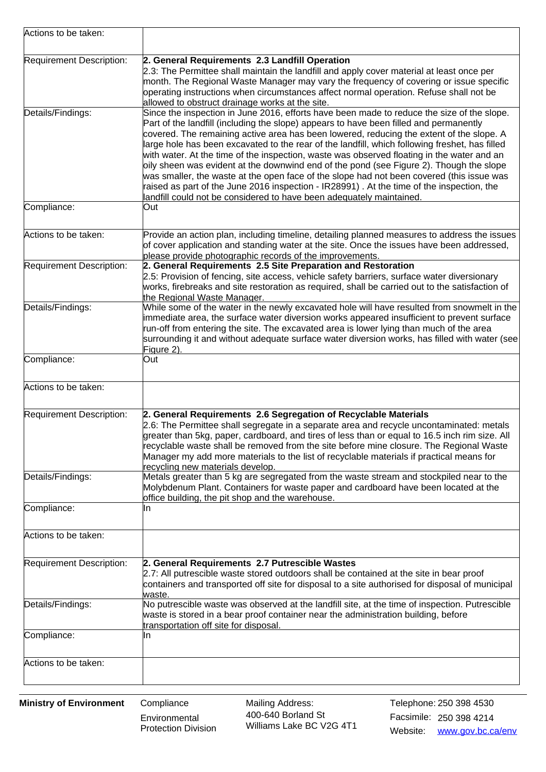| Actions to be taken:     |                                                                                                                                                                                                                                                                                                                                                                                                                                                                                                                                                                                                                                                                                                                                                                                                                                               |  |
|--------------------------|-----------------------------------------------------------------------------------------------------------------------------------------------------------------------------------------------------------------------------------------------------------------------------------------------------------------------------------------------------------------------------------------------------------------------------------------------------------------------------------------------------------------------------------------------------------------------------------------------------------------------------------------------------------------------------------------------------------------------------------------------------------------------------------------------------------------------------------------------|--|
| Requirement Description: | 2. General Requirements 2.3 Landfill Operation<br>2.3: The Permittee shall maintain the landfill and apply cover material at least once per<br>month. The Regional Waste Manager may vary the frequency of covering or issue specific<br>operating instructions when circumstances affect normal operation. Refuse shall not be<br>allowed to obstruct drainage works at the site.                                                                                                                                                                                                                                                                                                                                                                                                                                                            |  |
| Details/Findings:        | Since the inspection in June 2016, efforts have been made to reduce the size of the slope.<br>Part of the landfill (including the slope) appears to have been filled and permanently<br>covered. The remaining active area has been lowered, reducing the extent of the slope. A<br>large hole has been excavated to the rear of the landfill, which following freshet, has filled<br>with water. At the time of the inspection, waste was observed floating in the water and an<br>oily sheen was evident at the downwind end of the pond (see Figure 2). Though the slope<br>was smaller, the waste at the open face of the slope had not been covered (this issue was<br>raised as part of the June 2016 inspection - IR28991). At the time of the inspection, the<br>landfill could not be considered to have been adequately maintained. |  |
| Compliance:              | Out                                                                                                                                                                                                                                                                                                                                                                                                                                                                                                                                                                                                                                                                                                                                                                                                                                           |  |
| Actions to be taken:     | Provide an action plan, including timeline, detailing planned measures to address the issues<br>of cover application and standing water at the site. Once the issues have been addressed,<br>please provide photographic records of the improvements.                                                                                                                                                                                                                                                                                                                                                                                                                                                                                                                                                                                         |  |
| Requirement Description: | 2. General Requirements 2.5 Site Preparation and Restoration<br>2.5: Provision of fencing, site access, vehicle safety barriers, surface water diversionary<br>works, firebreaks and site restoration as required, shall be carried out to the satisfaction of<br>the Regional Waste Manager.                                                                                                                                                                                                                                                                                                                                                                                                                                                                                                                                                 |  |
| Details/Findings:        | While some of the water in the newly excavated hole will have resulted from snowmelt in the<br>immediate area, the surface water diversion works appeared insufficient to prevent surface<br>run-off from entering the site. The excavated area is lower lying than much of the area<br>surrounding it and without adequate surface water diversion works, has filled with water (see<br>Figure 2).                                                                                                                                                                                                                                                                                                                                                                                                                                           |  |
| Compliance:              | Out                                                                                                                                                                                                                                                                                                                                                                                                                                                                                                                                                                                                                                                                                                                                                                                                                                           |  |
| Actions to be taken:     |                                                                                                                                                                                                                                                                                                                                                                                                                                                                                                                                                                                                                                                                                                                                                                                                                                               |  |
| Requirement Description: | 2. General Requirements 2.6 Segregation of Recyclable Materials<br>2.6: The Permittee shall segregate in a separate area and recycle uncontaminated: metals<br>greater than 5kg, paper, cardboard, and tires of less than or equal to 16.5 inch rim size. All<br>recyclable waste shall be removed from the site before mine closure. The Regional Waste<br>Manager my add more materials to the list of recyclable materials if practical means for<br>recycling new materials develop.                                                                                                                                                                                                                                                                                                                                                      |  |
| Details/Findings:        | Metals greater than 5 kg are segregated from the waste stream and stockpiled near to the<br>Molybdenum Plant. Containers for waste paper and cardboard have been located at the<br>office building, the pit shop and the warehouse.                                                                                                                                                                                                                                                                                                                                                                                                                                                                                                                                                                                                           |  |
| Compliance:              | In                                                                                                                                                                                                                                                                                                                                                                                                                                                                                                                                                                                                                                                                                                                                                                                                                                            |  |
| Actions to be taken:     |                                                                                                                                                                                                                                                                                                                                                                                                                                                                                                                                                                                                                                                                                                                                                                                                                                               |  |
| Requirement Description: | 2. General Requirements 2.7 Putrescible Wastes<br>2.7: All putrescible waste stored outdoors shall be contained at the site in bear proof<br>containers and transported off site for disposal to a site authorised for disposal of municipal<br>lwaste.                                                                                                                                                                                                                                                                                                                                                                                                                                                                                                                                                                                       |  |
| Details/Findings:        | No putrescible waste was observed at the landfill site, at the time of inspection. Putrescible<br>waste is stored in a bear proof container near the administration building, before<br>transportation off site for disposal.                                                                                                                                                                                                                                                                                                                                                                                                                                                                                                                                                                                                                 |  |
| Compliance:              | In                                                                                                                                                                                                                                                                                                                                                                                                                                                                                                                                                                                                                                                                                                                                                                                                                                            |  |
| Actions to be taken:     |                                                                                                                                                                                                                                                                                                                                                                                                                                                                                                                                                                                                                                                                                                                                                                                                                                               |  |

**Ministry of Environment** Compliance

**Environmental** Protection Division Mailing Address: Facsimile: 250 398 4214 400-640 Borland St Williams Lake BC V2G 4T1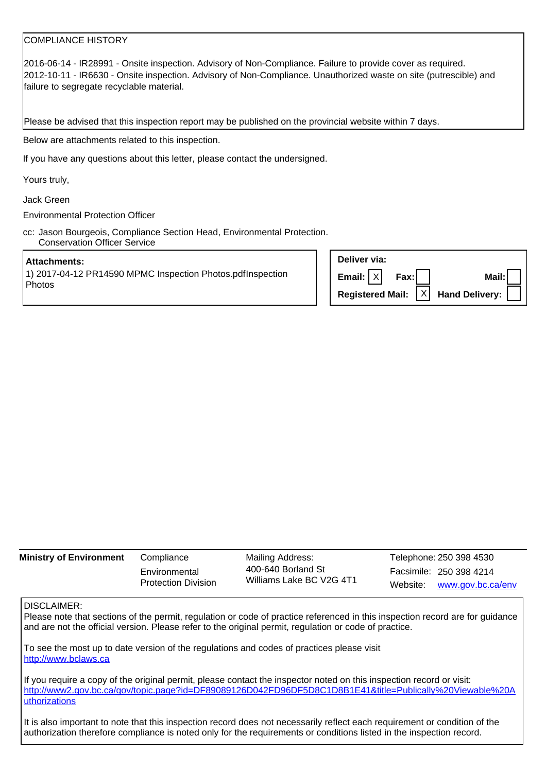## COMPLIANCE HISTORY

2016-06-14 - IR28991 - Onsite inspection. Advisory of Non-Compliance. Failure to provide cover as required. 2012-10-11 - IR6630 - Onsite inspection. Advisory of Non-Compliance. Unauthorized waste on site (putrescible) and failure to segregate recyclable material.

Please be advised that this inspection report may be published on the provincial website within 7 days.

Below are attachments related to this inspection.

If you have any questions about this letter, please contact the undersigned.

Yours truly,

Jack Green

Environmental Protection Officer

cc: Jason Bourgeois, Compliance Section Head, Environmental Protection. Conservation Officer Service

#### **Attachments:**

1) 2017-04-12 PR14590 MPMC Inspection Photos.pdfInspection Photos

| Deliver via:                                                                |                           |
|-----------------------------------------------------------------------------|---------------------------|
| Email: $ X $ Fax:                                                           | Mail: $\vert \vert \vert$ |
| Registered Mail: $\overline{X}$ Hand Delivery: $\overline{ \overline{ \ }}$ |                           |

| <b>Ministry of Environment</b> | Compliance                                  | Mailing Address:                               | Telephone: 250 398 4530 |                            |
|--------------------------------|---------------------------------------------|------------------------------------------------|-------------------------|----------------------------|
|                                | Environmental<br><b>Protection Division</b> | 400-640 Borland St<br>Williams Lake BC V2G 4T1 |                         | Facsimile: 250 398 4214    |
|                                |                                             |                                                |                         | Website: www.gov.bc.ca/env |

### DISCLAIMER:

Please note that sections of the permit, regulation or code of practice referenced in this inspection record are for guidance and are not the official version. Please refer to the original permit, regulation or code of practice.

To see the most up to date version of the regulations and codes of practices please visit http://www.bclaws.ca

If you require a copy of the original permit, please contact the inspector noted on this inspection record or visit: http://www2.gov.bc.ca/gov/topic.page?id=DF89089126D042FD96DF5D8C1D8B1E41&title=Publically%20Viewable%20A uthorizations

It is also important to note that this inspection record does not necessarily reflect each requirement or condition of the authorization therefore compliance is noted only for the requirements or conditions listed in the inspection record.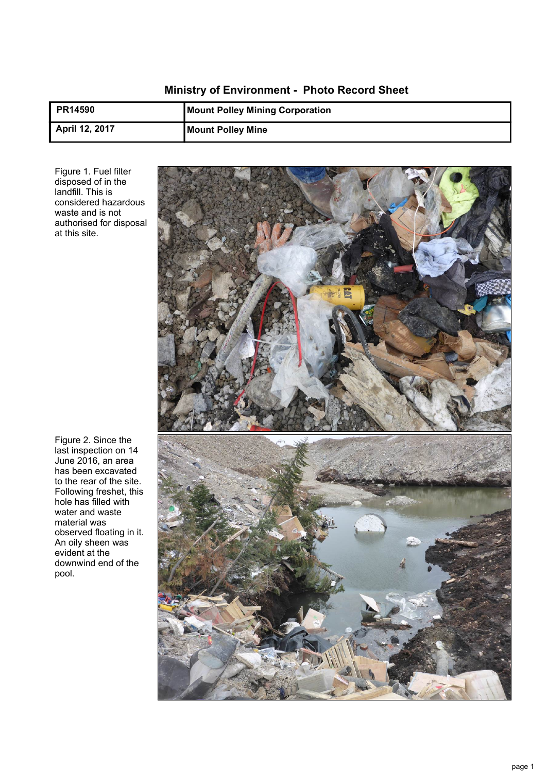# **Ministry of Environment - Photo Record Sheet**

| <b>PR14590</b> | <b>Mount Polley Mining Corporation</b> |
|----------------|----------------------------------------|
| April 12, 2017 | <b>Mount Polley Mine</b>               |

Figure 1. Fuel filter disposed of in the landfill. This is considered hazardous waste and is not authorised for disposal at this site.



Figure 2. Since the last inspection on 14 June 2016, an area has been excavated to the rear of the site. Following freshet, this hole has filled with water and waste material was observed floating in it. An oily sheen was evident at the downwind end of the pool.